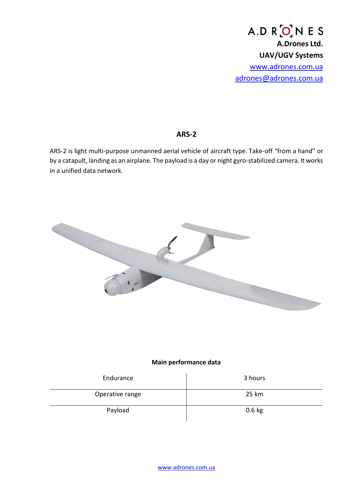A.D R ON E S **A.Drones Ltd. UAV/UGV Systems** [www.adrones.com.ua](http://www.adrones.com.ua/) [adrones@adrones.com.ua](mailto:adrones@adrones.com.ua)

## **ARS-2**

ARS-2 is light multi-purpose unmanned aerial vehicle of aircraft type. Take-off "from a hand" or by a catapult, landing as an airplane. The payload is a day or night gyro-stabilized camera. It works in a unified data network.



## **Main performance data**

| Endurance       | 3 hours  |
|-----------------|----------|
| Operative range | 25 km    |
| Payload         | $0.6$ kg |